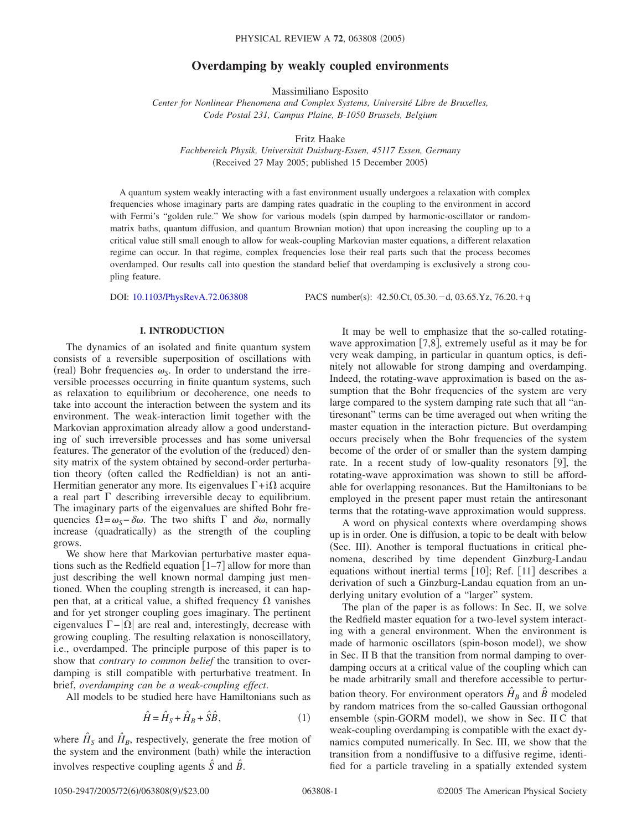# **Overdamping by weakly coupled environments**

Massimiliano Esposito

*Center for Nonlinear Phenomena and Complex Systems, Université Libre de Bruxelles, Code Postal 231, Campus Plaine, B-1050 Brussels, Belgium*

Fritz Haake

*Fachbereich Physik, Universität Duisburg-Essen, 45117 Essen, Germany* (Received 27 May 2005; published 15 December 2005)

A quantum system weakly interacting with a fast environment usually undergoes a relaxation with complex frequencies whose imaginary parts are damping rates quadratic in the coupling to the environment in accord with Fermi's "golden rule." We show for various models (spin damped by harmonic-oscillator or randommatrix baths, quantum diffusion, and quantum Brownian motion) that upon increasing the coupling up to a critical value still small enough to allow for weak-coupling Markovian master equations, a different relaxation regime can occur. In that regime, complex frequencies lose their real parts such that the process becomes overdamped. Our results call into question the standard belief that overdamping is exclusively a strong coupling feature.

DOI: [10.1103/PhysRevA.72.063808](http://dx.doi.org/10.1103/PhysRevA.72.063808)

:  $42.50$ .Ct,  $05.30 - d$ ,  $03.65$ .Yz,  $76.20 + q$ 

# **I. INTRODUCTION**

The dynamics of an isolated and finite quantum system consists of a reversible superposition of oscillations with (real) Bohr frequencies  $\omega_{\rm S}$ . In order to understand the irreversible processes occurring in finite quantum systems, such as relaxation to equilibrium or decoherence, one needs to take into account the interaction between the system and its environment. The weak-interaction limit together with the Markovian approximation already allow a good understanding of such irreversible processes and has some universal features. The generator of the evolution of the (reduced) density matrix of the system obtained by second-order perturbation theory (often called the Redfieldian) is not an anti-Hermitian generator any more. Its eigenvalues  $\Gamma + i\Omega$  acquire a real part  $\Gamma$  describing irreversible decay to equilibrium. The imaginary parts of the eigenvalues are shifted Bohr frequencies  $\Omega = \omega_s - \delta \omega$ . The two shifts  $\Gamma$  and  $\delta \omega$ , normally increase (quadratically) as the strength of the coupling grows.

We show here that Markovian perturbative master equations such as the Redfield equation  $\lceil 1-7 \rceil$  allow for more than just describing the well known normal damping just mentioned. When the coupling strength is increased, it can happen that, at a critical value, a shifted frequency  $\Omega$  vanishes and for yet stronger coupling goes imaginary. The pertinent eigenvalues  $\Gamma - |\Omega|$  are real and, interestingly, decrease with growing coupling. The resulting relaxation is nonoscillatory, i.e., overdamped. The principle purpose of this paper is to show that *contrary to common belief* the transition to overdamping is still compatible with perturbative treatment. In brief, *overdamping can be a weak-coupling effect*.

All models to be studied here have Hamiltonians such as

$$
\hat{H} = \hat{H}_S + \hat{H}_B + \hat{S}\hat{B},\tag{1}
$$

where  $\hat{H}_s$  and  $\hat{H}_s$ , respectively, generate the free motion of the system and the environment (bath) while the interaction involves respective coupling agents  $\hat{S}$  and  $\hat{B}$ .

It may be well to emphasize that the so-called rotatingwave approximation  $(7,8)$ , extremely useful as it may be for very weak damping, in particular in quantum optics, is definitely not allowable for strong damping and overdamping. Indeed, the rotating-wave approximation is based on the assumption that the Bohr frequencies of the system are very large compared to the system damping rate such that all "antiresonant" terms can be time averaged out when writing the master equation in the interaction picture. But overdamping occurs precisely when the Bohr frequencies of the system become of the order of or smaller than the system damping rate. In a recent study of low-quality resonators  $[9]$ , the rotating-wave approximation was shown to still be affordable for overlapping resonances. But the Hamiltonians to be employed in the present paper must retain the antiresonant terms that the rotating-wave approximation would suppress.

A word on physical contexts where overdamping shows up is in order. One is diffusion, a topic to be dealt with below (Sec. III). Another is temporal fluctuations in critical phenomena, described by time dependent Ginzburg-Landau equations without inertial terms  $[10]$ ; Ref.  $[11]$  describes a derivation of such a Ginzburg-Landau equation from an underlying unitary evolution of a "larger" system.

The plan of the paper is as follows: In Sec. II, we solve the Redfield master equation for a two-level system interacting with a general environment. When the environment is made of harmonic oscillators (spin-boson model), we show in Sec. II B that the transition from normal damping to overdamping occurs at a critical value of the coupling which can be made arbitrarily small and therefore accessible to perturbation theory. For environment operators  $\hat{H}_B$  and  $\hat{B}$  modeled by random matrices from the so-called Gaussian orthogonal ensemble (spin-GORM model), we show in Sec. II C that weak-coupling overdamping is compatible with the exact dynamics computed numerically. In Sec. III, we show that the transition from a nondiffusive to a diffusive regime, identified for a particle traveling in a spatially extended system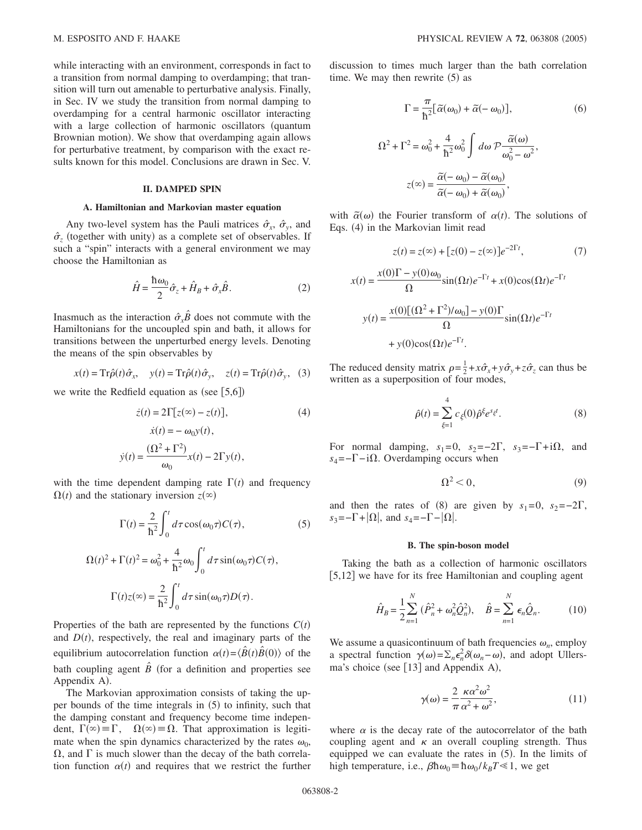while interacting with an environment, corresponds in fact to a transition from normal damping to overdamping; that transition will turn out amenable to perturbative analysis. Finally, in Sec. IV we study the transition from normal damping to overdamping for a central harmonic oscillator interacting with a large collection of harmonic oscillators (quantum Brownian motion). We show that overdamping again allows for perturbative treatment, by comparison with the exact results known for this model. Conclusions are drawn in Sec. V.

## **II. DAMPED SPIN**

## **A. Hamiltonian and Markovian master equation**

Any two-level system has the Pauli matrices  $\hat{\sigma}_x$ ,  $\hat{\sigma}_y$ , and  $\hat{\sigma}_z$  (together with unity) as a complete set of observables. If such a "spin" interacts with a general environment we may choose the Hamiltonian as

$$
\hat{H} = \frac{\hbar \omega_0}{2} \hat{\sigma}_z + \hat{H}_B + \hat{\sigma}_x \hat{B}.
$$
 (2)

Inasmuch as the interaction  $\hat{\sigma}_x \hat{B}$  does not commute with the Hamiltonians for the uncoupled spin and bath, it allows for transitions between the unperturbed energy levels. Denoting the means of the spin observables by

$$
x(t) = \text{Tr}\hat{\rho}(t)\hat{\sigma}_x, \quad y(t) = \text{Tr}\hat{\rho}(t)\hat{\sigma}_y, \quad z(t) = \text{Tr}\hat{\rho}(t)\hat{\sigma}_y, \quad (3)
$$

we write the Redfield equation as (see  $[5,6]$ )

$$
\dot{z}(t) = 2\Gamma[z(\infty) - z(t)],
$$
  
\n
$$
\dot{x}(t) = -\omega_0 y(t),
$$
  
\n
$$
\dot{y}(t) = \frac{(\Omega^2 + \Gamma^2)}{\omega_0} x(t) - 2\Gamma y(t),
$$
\n(4)

with the time dependent damping rate  $\Gamma(t)$  and frequency  $\Omega(t)$  and the stationary inversion  $z(\infty)$ 

$$
\Gamma(t) = \frac{2}{\hbar^2} \int_0^t d\tau \cos(\omega_0 \tau) C(\tau), \tag{5}
$$

$$
\Omega(t)^2 + \Gamma(t)^2 = \omega_0^2 + \frac{4}{\hbar^2} \omega_0 \int_0^t d\tau \sin(\omega_0 \tau) C(\tau),
$$

$$
\Gamma(t) z(\infty) = \frac{2}{\hbar^2} \int_0^t d\tau \sin(\omega_0 \tau) D(\tau).
$$

Properties of the bath are represented by the functions  $C(t)$ and  $D(t)$ , respectively, the real and imaginary parts of the equilibrium autocorrelation function  $\alpha(t) = \langle \hat{B}(t) \hat{B}(0) \rangle$  of the bath coupling agent  $\hat{B}$  (for a definition and properties see Appendix A).

The Markovian approximation consists of taking the upper bounds of the time integrals in  $(5)$  to infinity, such that the damping constant and frequency become time independent,  $\Gamma(\infty) = \Gamma$ ,  $\Omega(\infty) = \Omega$ . That approximation is legitimate when the spin dynamics characterized by the rates  $\omega_0$ ,  $\Omega$ , and  $\Gamma$  is much slower than the decay of the bath correlation function  $\alpha(t)$  and requires that we restrict the further

discussion to times much larger than the bath correlation time. We may then rewrite  $(5)$  as

$$
\Gamma = \frac{\pi}{\hbar^2} [\tilde{\alpha}(\omega_0) + \tilde{\alpha}(-\omega_0)],
$$
\n(6)  
\n
$$
\Omega^2 + \Gamma^2 = \omega_0^2 + \frac{4}{\hbar^2} \omega_0^2 \int d\omega \mathcal{P} \frac{\tilde{\alpha}(\omega)}{\omega_0^2 - \omega^2},
$$
\n
$$
z(\infty) = \frac{\tilde{\alpha}(-\omega_0) - \tilde{\alpha}(\omega_0)}{\tilde{\alpha}(-\omega_0) + \tilde{\alpha}(\omega_0)},
$$

with  $\tilde{\alpha}(\omega)$  the Fourier transform of  $\alpha(t)$ . The solutions of Eqs. (4) in the Markovian limit read

$$
z(t) = z(\infty) + [z(0) - z(\infty)]e^{-2\Gamma t},
$$
\n(7)

$$
x(t) = \frac{x(0)\Gamma - y(0)\omega_0}{\Omega} \sin(\Omega t)e^{-\Gamma t} + x(0)\cos(\Omega t)e^{-\Gamma t}
$$

$$
y(t) = \frac{x(0)[(\Omega^2 + \Gamma^2)/\omega_0] - y(0)\Gamma}{\Omega} \sin(\Omega t)e^{-\Gamma t}
$$

$$
+ y(0)\cos(\Omega t)e^{-\Gamma t}.
$$

The reduced density matrix  $\rho = \frac{1}{2} + x\hat{\sigma}_x + y\hat{\sigma}_y + z\hat{\sigma}_z$  can thus be written as a superposition of four modes,

$$
\hat{\rho}(t) = \sum_{\xi=1}^{4} c_{\xi}(0) \hat{\rho}^{\xi} e^{s_{\xi}t}.
$$
\n(8)

For normal damping,  $s_1=0$ ,  $s_2=-2\Gamma$ ,  $s_3=-\Gamma+i\Omega$ , and  $s_4 = -\Gamma - i\Omega$ . Overdamping occurs when

$$
\Omega^2 < 0,\tag{9}
$$

and then the rates of (8) are given by  $s_1=0$ ,  $s_2=-2\Gamma$ ,  $s_3 = -\Gamma + |\Omega|$ , and  $s_4 = -\Gamma - |\Omega|$ .

#### **B. The spin-boson model**

Taking the bath as a collection of harmonic oscillators [5,12] we have for its free Hamiltonian and coupling agent

$$
\hat{H}_B = \frac{1}{2} \sum_{n=1}^{N} (\hat{P}_n^2 + \omega_n^2 \hat{Q}_n^2), \quad \hat{B} = \sum_{n=1}^{N} \epsilon_n \hat{Q}_n.
$$
 (10)

We assume a quasicontinuum of bath frequencies  $\omega_n$ , employ a spectral function  $\gamma(\omega) = \sum_n \epsilon_n^2 \delta(\omega_n - \omega)$ , and adopt Ullersma's choice (see  $[13]$  and Appendix A),

$$
\gamma(\omega) = \frac{2}{\pi} \frac{\kappa \alpha^2 \omega^2}{\alpha^2 + \omega^2},\tag{11}
$$

where  $\alpha$  is the decay rate of the autocorrelator of the bath coupling agent and  $\kappa$  an overall coupling strength. Thus equipped we can evaluate the rates in  $(5)$ . In the limits of high temperature, i.e.,  $\beta \hbar \omega_0 = \hbar \omega_0 / k_B T \ll 1$ , we get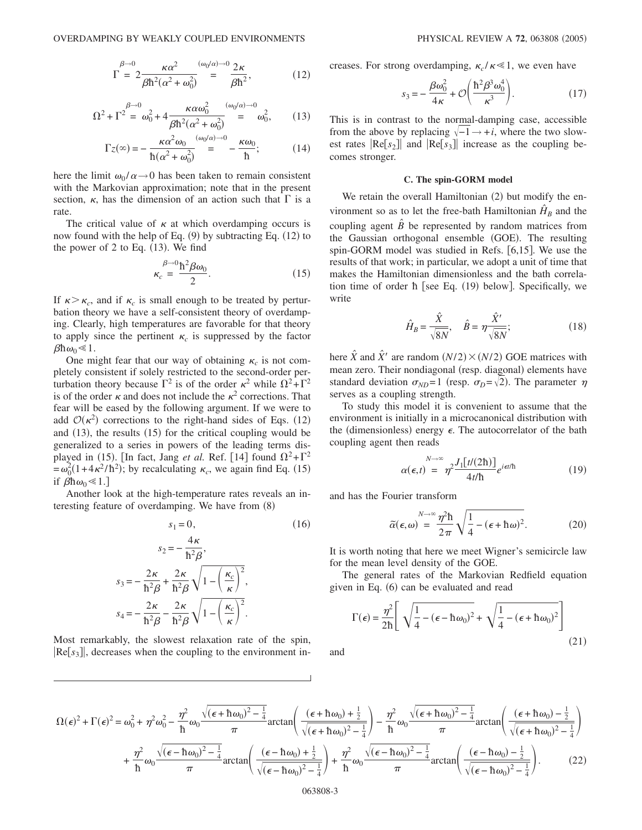$$
\Gamma = 2 \frac{\kappa \alpha^2}{\beta \hbar^2 (\alpha^2 + \omega_0^2)} \stackrel{(\omega_0/\alpha) \to 0}{=} \frac{2\kappa}{\beta \hbar^2},
$$
(12)

$$
\Omega^2 + \Gamma^2 \stackrel{\beta \to 0}{=} \omega_0^2 + 4 \frac{\kappa \alpha \omega_0^2}{\beta \hbar^2 (\alpha^2 + \omega_0^2)} \stackrel{(\omega_0/\alpha) \to 0}{=} \omega_0^2, \qquad (13)
$$

$$
\Gamma z(\infty) = -\frac{\kappa \alpha^2 \omega_0}{\hbar (\alpha^2 + \omega_0^2)} \stackrel{(\omega_0/\alpha) \to 0}{=} -\frac{\kappa \omega_0}{\hbar};\tag{14}
$$

here the limit  $\omega_0 / \alpha \rightarrow 0$  has been taken to remain consistent with the Markovian approximation; note that in the present section,  $\kappa$ , has the dimension of an action such that  $\Gamma$  is a rate.

The critical value of  $\kappa$  at which overdamping occurs is now found with the help of Eq.  $(9)$  by subtracting Eq.  $(12)$  to the power of 2 to Eq.  $(13)$ . We find

$$
\kappa_c = \frac{\hbar^2 \beta \omega_0}{2}.
$$
\n(15)

If  $\kappa > \kappa_c$ , and if  $\kappa_c$  is small enough to be treated by perturbation theory we have a self-consistent theory of overdamping. Clearly, high temperatures are favorable for that theory to apply since the pertinent  $\kappa_c$  is suppressed by the factor  $\beta \hbar \omega_0 \ll 1$ .

One might fear that our way of obtaining  $\kappa_c$  is not completely consistent if solely restricted to the second-order perturbation theory because  $\Gamma^2$  is of the order  $\kappa^2$  while  $\Omega^2 + \Gamma^2$ is of the order  $\kappa$  and does not include the  $\kappa^2$  corrections. That fear will be eased by the following argument. If we were to add  $\mathcal{O}(\kappa^2)$  corrections to the right-hand sides of Eqs. (12) and  $(13)$ , the results  $(15)$  for the critical coupling would be generalized to a series in powers of the leading terms displayed in (15). [In fact, Jang *et al.* Ref. [14] found  $\Omega^2 + \Gamma^2$  $=\omega_0^2(1+4\kappa^2/\hbar^2)$ ; by recalculating  $\kappa_c$ , we again find Eq. (15) if  $\beta \hbar \omega_0 \ll 1$ .

Another look at the high-temperature rates reveals an interesting feature of overdamping. We have from (8)

$$
s_1 = 0,
$$
\n
$$
s_2 = -\frac{4\kappa}{\hbar^2 \beta},
$$
\n
$$
s_3 = -\frac{2\kappa}{\hbar^2 \beta} + \frac{2\kappa}{\hbar^2 \beta} \sqrt{1 - \left(\frac{\kappa_c}{\kappa}\right)^2},
$$
\n
$$
s_4 = -\frac{2\kappa}{\hbar^2 \beta} - \frac{2\kappa}{\hbar^2 \beta} \sqrt{1 - \left(\frac{\kappa_c}{\kappa}\right)^2}.
$$
\n(16)

Most remarkably, the slowest relaxation rate of the spin,  $\text{[Re}[s_3]]$ , decreases when the coupling to the environment increases. For strong overdamping,  $\kappa_c / \kappa \ll 1$ , we even have

$$
s_3 = -\frac{\beta \omega_0^2}{4\kappa} + \mathcal{O}\left(\frac{\hbar^2 \beta^3 \omega_0^4}{\kappa^3}\right). \tag{17}
$$

This is in contrast to the normal-damping case, accessible from the above by replacing  $\sqrt{-1} \rightarrow +i$ , where the two slowest rates  $\text{Re}[s_2]$  and  $\text{Re}[s_3]$  increase as the coupling becomes stronger.

#### **C. The spin-GORM model**

We retain the overall Hamiltonian (2) but modify the environment so as to let the free-bath Hamiltonian  $H_B$  and the coupling agent  $\hat{B}$  be represented by random matrices from the Gaussian orthogonal ensemble (GOE). The resulting spin-GORM model was studied in Refs.  $[6,15]$ . We use the results of that work; in particular, we adopt a unit of time that makes the Hamiltonian dimensionless and the bath correlation time of order  $\hbar$  [see Eq. (19) below]. Specifically, we write

$$
\hat{H}_B = \frac{\hat{X}}{\sqrt{8N}}, \quad \hat{B} = \eta \frac{\hat{X}'}{\sqrt{8N}}; \tag{18}
$$

here  $\hat{X}$  and  $\hat{X}'$  are random  $(N/2) \times (N/2)$  GOE matrices with mean zero. Their nondiagonal (resp. diagonal) elements have standard deviation  $\sigma_{ND} = 1$  (resp.  $\sigma_D = \sqrt{2}$ ). The parameter  $\eta$ serves as a coupling strength.

To study this model it is convenient to assume that the environment is initially in a microcanonical distribution with the (dimensionless) energy  $\epsilon$ . The autocorrelator of the bath coupling agent then reads

$$
\alpha(\epsilon, t) = \eta^2 \frac{J_1[t/(2\hbar)]}{4t/\hbar} e^{i\epsilon t/\hbar}
$$
 (19)

and has the Fourier transform

$$
\widetilde{\alpha}(\epsilon,\omega) = \frac{\eta^2 \hbar}{2\pi} \sqrt{\frac{1}{4} - (\epsilon + \hbar \omega)^2}.
$$
 (20)

It is worth noting that here we meet Wigner's semicircle law for the mean level density of the GOE.

The general rates of the Markovian Redfield equation given in Eq. (6) can be evaluated and read

$$
\Gamma(\epsilon) = \frac{\eta^2}{2\hbar} \left[ \sqrt{\frac{1}{4} - (\epsilon - \hbar \omega_0)^2} + \sqrt{\frac{1}{4} - (\epsilon + \hbar \omega_0)^2} \right]
$$
(21)

and

$$
\Omega(\epsilon)^{2} + \Gamma(\epsilon)^{2} = \omega_{0}^{2} + \eta^{2} \omega_{0}^{2} - \frac{\eta^{2}}{\hbar} \omega_{0} \frac{\sqrt{(\epsilon + \hbar \omega_{0})^{2} - \frac{1}{4}}}{\pi} \arctan\left(\frac{(\epsilon + \hbar \omega_{0}) + \frac{1}{2}}{\sqrt{(\epsilon + \hbar \omega_{0})^{2} - \frac{1}{4}}}\right) - \frac{\eta^{2}}{\hbar} \omega_{0} \frac{\sqrt{(\epsilon + \hbar \omega_{0})^{2} - \frac{1}{4}}}{\pi} \arctan\left(\frac{(\epsilon + \hbar \omega_{0}) - \frac{1}{2}}{\sqrt{(\epsilon + \hbar \omega_{0})^{2} - \frac{1}{4}}}\right) + \frac{\eta^{2}}{\hbar} \omega_{0} \frac{\sqrt{(\epsilon + \hbar \omega_{0})^{2} - \frac{1}{4}}}{\pi} \arctan\left(\frac{(\epsilon - \hbar \omega_{0}) - \frac{1}{2}}{\sqrt{(\epsilon - \hbar \omega_{0})^{2} - \frac{1}{4}}}\right) + \frac{\eta^{2}}{\hbar} \omega_{0} \frac{\sqrt{(\epsilon - \hbar \omega_{0})^{2} - \frac{1}{4}}}{\pi} \arctan\left(\frac{(\epsilon - \hbar \omega_{0}) - \frac{1}{2}}{\sqrt{(\epsilon - \hbar \omega_{0})^{2} - \frac{1}{4}}}\right). \tag{22}
$$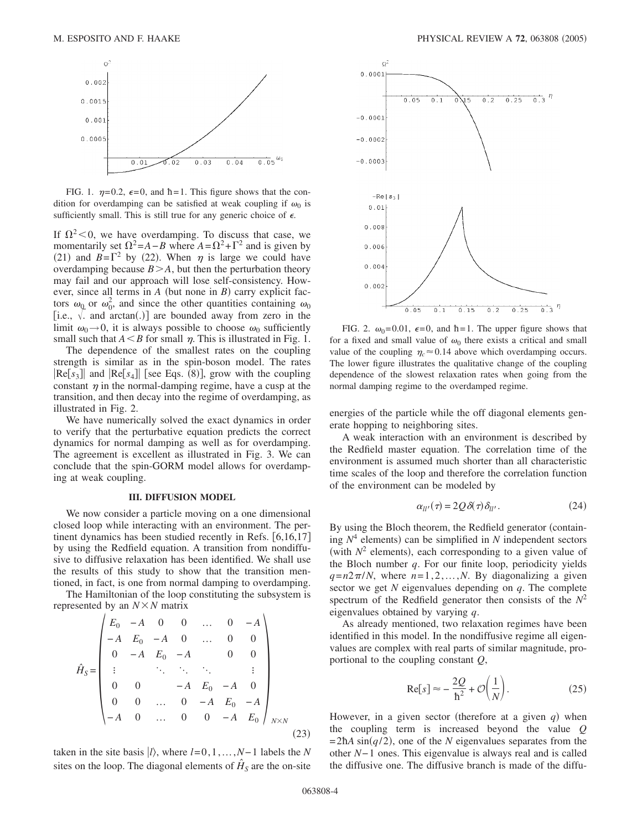

FIG. 1.  $\eta=0.2$ ,  $\epsilon=0$ , and  $\hbar=1$ . This figure shows that the condition for overdamping can be satisfied at weak coupling if  $\omega_0$  is sufficiently small. This is still true for any generic choice of  $\epsilon$ .

If  $\Omega^2$  < 0, we have overdamping. To discuss that case, we momentarily set  $\Omega^2 = A - B$  where  $A = \Omega^2 + \Gamma^2$  and is given by (21) and  $B=\Gamma^2$  by (22). When  $\eta$  is large we could have overdamping because  $B > A$ , but then the perturbation theory may fail and our approach will lose self-consistency. However, since all terms in  $A$  (but none in  $B$ ) carry explicit factors  $\omega_0$  or  $\omega_0^2$ , and since the other quantities containing  $\omega_0$ i.e.,  $\sqrt{ }$  and arctan(.)] are bounded away from zero in the limit  $\omega_0 \rightarrow 0$ , it is always possible to choose  $\omega_0$  sufficiently small such that  $A \leq B$  for small  $\eta$ . This is illustrated in Fig. 1.

The dependence of the smallest rates on the coupling strength is similar as in the spin-boson model. The rates  $[Re[s_3]]$  and  $[Re[s_4]]$  [see Eqs. (8)], grow with the coupling constant  $\eta$  in the normal-damping regime, have a cusp at the transition, and then decay into the regime of overdamping, as illustrated in Fig. 2.

We have numerically solved the exact dynamics in order to verify that the perturbative equation predicts the correct dynamics for normal damping as well as for overdamping. The agreement is excellent as illustrated in Fig. 3. We can conclude that the spin-GORM model allows for overdamping at weak coupling.

#### **III. DIFFUSION MODEL**

We now consider a particle moving on a one dimensional closed loop while interacting with an environment. The pertinent dynamics has been studied recently in Refs.  $[6,16,17]$ by using the Redfield equation. A transition from nondiffusive to diffusive relaxation has been identified. We shall use the results of this study to show that the transition mentioned, in fact, is one from normal damping to overdamping.

The Hamiltonian of the loop constituting the subsystem is represented by an  $N \times N$  matrix

$$
\hat{H}_S = \begin{pmatrix}\nE_0 & -A & 0 & 0 & \dots & 0 & -A \\
-A & E_0 & -A & 0 & \dots & 0 & 0 \\
0 & -A & E_0 & -A & & 0 & 0 \\
\vdots & & \ddots & \ddots & \ddots & & \vdots \\
0 & 0 & & -A & E_0 & -A & 0 \\
0 & 0 & \dots & 0 & -A & E_0 & -A \\
-A & 0 & \dots & 0 & 0 & -A & E_0\n\end{pmatrix}_{N \times N}
$$
\n(23)

taken in the site basis  $|l\rangle$ , where  $l=0,1,\ldots,N-1$  labels the *N* sites on the loop. The diagonal elements of  $\hat{H}_s$  are the on-site



FIG. 2.  $\omega_0$ =0.01,  $\epsilon$ =0, and  $\hbar$ =1. The upper figure shows that for a fixed and small value of  $\omega_0$  there exists a critical and small value of the coupling  $\eta_c \approx 0.14$  above which overdamping occurs. The lower figure illustrates the qualitative change of the coupling dependence of the slowest relaxation rates when going from the normal damping regime to the overdamped regime.

energies of the particle while the off diagonal elements generate hopping to neighboring sites.

A weak interaction with an environment is described by the Redfield master equation. The correlation time of the environment is assumed much shorter than all characteristic time scales of the loop and therefore the correlation function of the environment can be modeled by

$$
\alpha_{ll'}(\tau) = 2Q \,\delta(\tau) \,\delta_{ll'}.\tag{24}
$$

By using the Bloch theorem, the Redfield generator (containing  $N<sup>4</sup>$  elements) can be simplified in *N* independent sectors (with  $N^2$  elements), each corresponding to a given value of the Bloch number *q*. For our finite loop, periodicity yields  $q=n2\pi/N$ , where  $n=1,2,...,N$ . By diagonalizing a given sector we get *N* eigenvalues depending on *q*. The complete spectrum of the Redfield generator then consists of the  $N^2$ eigenvalues obtained by varying *q*.

As already mentioned, two relaxation regimes have been identified in this model. In the nondiffusive regime all eigenvalues are complex with real parts of similar magnitude, proportional to the coupling constant *Q*,

$$
\text{Re}[s] \approx -\frac{2Q}{\hbar^2} + \mathcal{O}\left(\frac{1}{N}\right). \tag{25}
$$

However, in a given sector (therefore at a given  $q$ ) when the coupling term is increased beyond the value *Q*  $=2\hbar A \sin(q/2)$ , one of the *N* eigenvalues separates from the other *N*−1 ones. This eigenvalue is always real and is called the diffusive one. The diffusive branch is made of the diffu-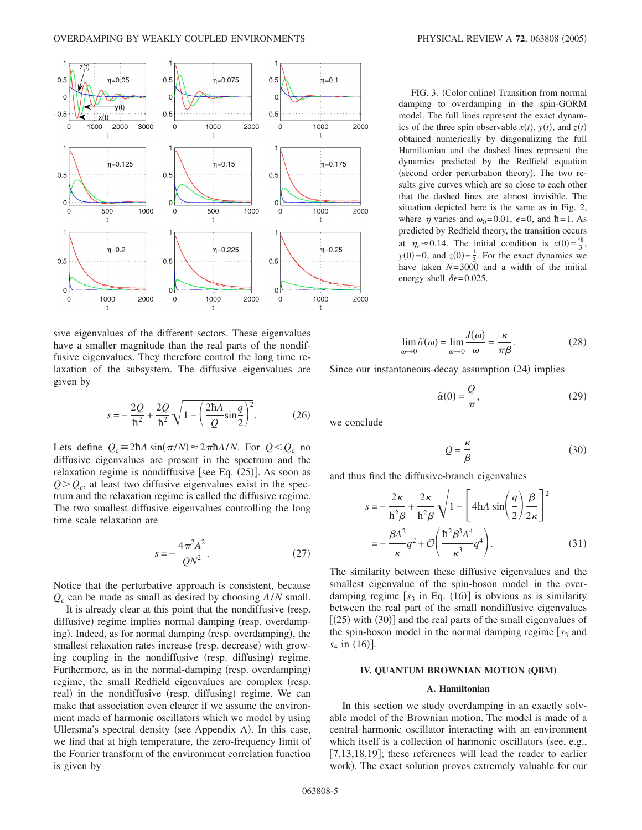

sive eigenvalues of the different sectors. These eigenvalues have a smaller magnitude than the real parts of the nondiffusive eigenvalues. They therefore control the long time relaxation of the subsystem. The diffusive eigenvalues are given by

$$
s = -\frac{2Q}{\hbar^2} + \frac{2Q}{\hbar^2} \sqrt{1 - \left(\frac{2\hbar A}{Q} \sin\frac{q}{2}\right)^2}.
$$
 (26)

Lets define  $Q_c \equiv 2\hbar A \sin(\pi/N) \approx 2\pi \hbar A/N$ . For  $Q \leq Q_c$  no diffusive eigenvalues are present in the spectrum and the relaxation regime is nondiffusive [see Eq.  $(25)$ ]. As soon as  $Q > Q_c$ , at least two diffusive eigenvalues exist in the spectrum and the relaxation regime is called the diffusive regime. The two smallest diffusive eigenvalues controlling the long time scale relaxation are

$$
s = -\frac{4\pi^2 A^2}{QN^2}.
$$
 (27)

Notice that the perturbative approach is consistent, because *Qc* can be made as small as desired by choosing *A*/*N* small.

It is already clear at this point that the nondiffusive (resp. diffusive) regime implies normal damping (resp. overdamping). Indeed, as for normal damping (resp. overdamping), the smallest relaxation rates increase (resp. decrease) with growing coupling in the nondiffusive (resp. diffusing) regime. Furthermore, as in the normal-damping (resp. overdamping) regime, the small Redfield eigenvalues are complex (resp. real) in the nondiffusive (resp. diffusing) regime. We can make that association even clearer if we assume the environment made of harmonic oscillators which we model by using Ullersma's spectral density (see Appendix A). In this case, we find that at high temperature, the zero-frequency limit of the Fourier transform of the environment correlation function is given by

FIG. 3. (Color online) Transition from normal damping to overdamping in the spin-GORM model. The full lines represent the exact dynamics of the three spin observable  $x(t)$ ,  $y(t)$ , and  $z(t)$ obtained numerically by diagonalizing the full Hamiltonian and the dashed lines represent the dynamics predicted by the Redfield equation (second order perturbation theory). The two results give curves which are so close to each other that the dashed lines are almost invisible. The situation depicted here is the same as in Fig. 2, where  $\eta$  varies and  $\omega_0$ =0.01,  $\epsilon$ =0, and  $\hbar$ =1. As predicted by Redfield theory, the transition occurs at  $\eta_c \approx 0.14$ . The initial condition is  $x(0) = \frac{\sqrt{8}}{3}$ ,  $y(0)=0$ , and  $z(0)=\frac{1}{3}$ . For the exact dynamics we have taken *N*=3000 and a width of the initial energy shell  $\delta \epsilon = 0.025$ .

$$
\lim_{\omega \to 0} \widetilde{\alpha}(\omega) = \lim_{\omega \to 0} \frac{J(\omega)}{\omega} = \frac{\kappa}{\pi \beta}.
$$
 (28)

Since our instantaneous-decay assumption (24) implies

$$
\tilde{\alpha}(0) = \frac{Q}{\pi},\tag{29}
$$

we conclude

$$
Q = \frac{\kappa}{\beta} \tag{30}
$$

and thus find the diffusive-branch eigenvalues

$$
s = -\frac{2\kappa}{\hbar^2 \beta} + \frac{2\kappa}{\hbar^2 \beta} \sqrt{1 - \left[4\hbar A \sin\left(\frac{q}{2}\right) \frac{\beta}{2\kappa}\right]^2}
$$
  
= 
$$
-\frac{\beta A^2}{\kappa} q^2 + \mathcal{O}\left(\frac{\hbar^2 \beta^3 A^4}{\kappa^3} q^4\right).
$$
 (31)

The similarity between these diffusive eigenvalues and the smallest eigenvalue of the spin-boson model in the overdamping regime  $[s_3$  in Eq. (16)] is obvious as is similarity between the real part of the small nondiffusive eigenvalues  $[(25)$  with  $(30)]$  and the real parts of the small eigenvalues of the spin-boson model in the normal damping regime  $s_3$  and  $s_4$  in (16)].

### **IV. QUANTUM BROWNIAN MOTION (QBM)**

#### **A. Hamiltonian**

In this section we study overdamping in an exactly solvable model of the Brownian motion. The model is made of a central harmonic oscillator interacting with an environment which itself is a collection of harmonic oscillators (see, e.g., [7,13,18,19]; these references will lead the reader to earlier work). The exact solution proves extremely valuable for our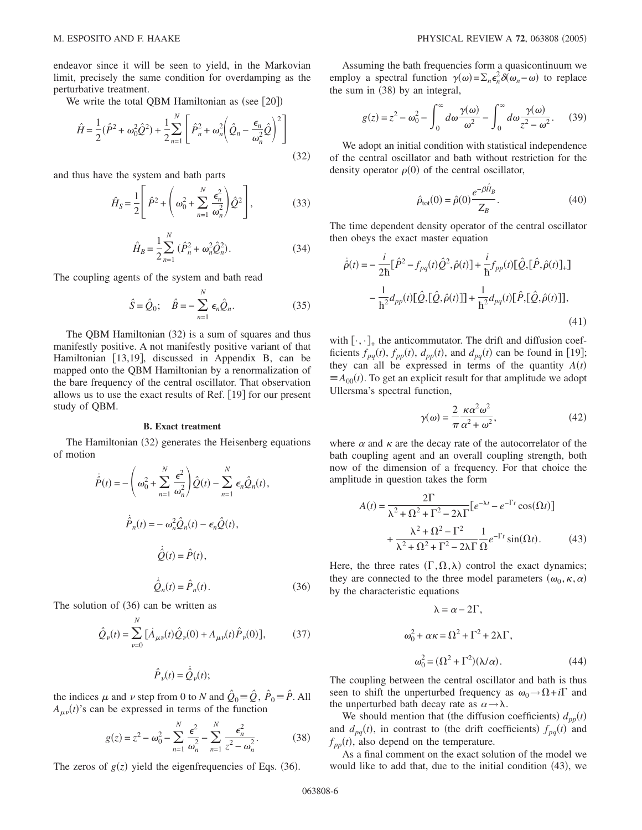endeavor since it will be seen to yield, in the Markovian limit, precisely the same condition for overdamping as the perturbative treatment.

We write the total QBM Hamiltonian as (see  $[20]$ )

$$
\hat{H} = \frac{1}{2}(\hat{P}^2 + \omega_0^2 \hat{Q}^2) + \frac{1}{2} \sum_{n=1}^{N} \left[ \hat{P}_n^2 + \omega_n^2 \left( \hat{Q}_n - \frac{\epsilon_n}{\omega_n^2} \hat{Q} \right)^2 \right]
$$
(32)

and thus have the system and bath parts

$$
\hat{H}_S = \frac{1}{2} \left[ \hat{P}^2 + \left( \omega_0^2 + \sum_{n=1}^N \frac{\epsilon_n^2}{\omega_n^2} \right) \hat{Q}^2 \right],\tag{33}
$$

$$
\hat{H}_B = \frac{1}{2} \sum_{n=1}^{N} (\hat{P}_n^2 + \omega_n^2 \hat{Q}_n^2).
$$
 (34)

The coupling agents of the system and bath read

$$
\hat{S} = \hat{Q}_0; \quad \hat{B} = -\sum_{n=1}^{N} \epsilon_n \hat{Q}_n.
$$
 (35)

The QBM Hamiltonian (32) is a sum of squares and thus manifestly positive. A not manifestly positive variant of that Hamiltonian [13,19], discussed in Appendix B, can be mapped onto the QBM Hamiltonian by a renormalization of the bare frequency of the central oscillator. That observation allows us to use the exact results of Ref.  $[19]$  for our present study of QBM.

## **B. Exact treatment**

The Hamiltonian (32) generates the Heisenberg equations of motion

$$
\dot{\hat{P}}(t) = -\left(\omega_0^2 + \sum_{n=1}^N \frac{\epsilon^2}{\omega_n^2}\right) \hat{Q}(t) - \sum_{n=1}^N \epsilon_n \hat{Q}_n(t),
$$

$$
\dot{\hat{P}}_n(t) = -\omega_n^2 \hat{Q}_n(t) - \epsilon_n \hat{Q}(t),
$$

$$
\dot{\hat{Q}}(t) = \hat{P}(t),
$$

$$
\dot{\hat{Q}}_n(t) = \hat{P}_n(t).
$$
(36)

The solution of  $(36)$  can be written as

$$
\hat{Q}_{\nu}(t) = \sum_{\nu=0}^{N} \left[ \dot{A}_{\mu\nu}(t) \hat{Q}_{\nu}(0) + A_{\mu\nu}(t) \hat{P}_{\nu}(0) \right],
$$
 (37)

$$
\hat{P}_{\nu}(t) = \dot{\hat{Q}}_{\nu}(t);
$$

the indices  $\mu$  and  $\nu$  step from 0 to *N* and  $\hat{Q}_0 \equiv \hat{Q}$ ,  $\hat{P}_0 \equiv \hat{P}$ . All  $A_{\mu\nu}(t)$ 's can be expressed in terms of the function

$$
g(z) = z^2 - \omega_0^2 - \sum_{n=1}^N \frac{\epsilon^2}{\omega_n^2} - \sum_{n=1}^N \frac{\epsilon_n^2}{z^2 - \omega_n^2}.
$$
 (38)

The zeros of  $g(z)$  yield the eigenfrequencies of Eqs. (36).

Assuming the bath frequencies form a quasicontinuum we employ a spectral function  $\gamma(\omega) = \sum_n \epsilon_n^2 \delta(\omega_n - \omega)$  to replace the sum in  $(38)$  by an integral,

$$
g(z) = z^2 - \omega_0^2 - \int_0^\infty d\omega \frac{\gamma(\omega)}{\omega^2} - \int_0^\infty d\omega \frac{\gamma(\omega)}{z^2 - \omega^2}.
$$
 (39)

We adopt an initial condition with statistical independence of the central oscillator and bath without restriction for the density operator  $\rho(0)$  of the central oscillator,

$$
\hat{\rho}_{\text{tot}}(0) = \hat{\rho}(0) \frac{e^{-\beta \hat{H}_B}}{Z_B}.
$$
\n(40)

The time dependent density operator of the central oscillator then obeys the exact master equation

$$
\dot{\hat{\rho}}(t) = -\frac{i}{2\hbar} [\hat{P}^2 - f_{pq}(t)\hat{Q}^2, \hat{\rho}(t)] + \frac{i}{\hbar} f_{pp}(t) [\hat{Q}, [\hat{P}, \hat{\rho}(t)]_+]
$$

$$
-\frac{1}{\hbar^2} d_{pp}(t) [\hat{Q}, [\hat{Q}, \hat{\rho}(t)]] + \frac{1}{\hbar^2} d_{pq}(t) [\hat{P}, [\hat{Q}, \hat{\rho}(t)]],
$$
(41)

with  $[\cdot,\cdot]_+$  the anticommutator. The drift and diffusion coefficients  $f_{pq}(t)$ ,  $f_{pp}(t)$ ,  $d_{pp}(t)$ , and  $d_{pq}(t)$  can be found in [19]; they can all be expressed in terms of the quantity  $A(t)$  $\equiv A_{00}(t)$ . To get an explicit result for that amplitude we adopt Ullersma's spectral function,

$$
\gamma(\omega) = \frac{2}{\pi} \frac{\kappa \alpha^2 \omega^2}{\alpha^2 + \omega^2},\tag{42}
$$

where  $\alpha$  and  $\kappa$  are the decay rate of the autocorrelator of the bath coupling agent and an overall coupling strength, both now of the dimension of a frequency. For that choice the amplitude in question takes the form

$$
A(t) = \frac{2\Gamma}{\lambda^2 + \Omega^2 + \Gamma^2 - 2\lambda\Gamma} \left[ e^{-\lambda t} - e^{-\Gamma t} \cos(\Omega t) \right]
$$

$$
+ \frac{\lambda^2 + \Omega^2 - \Gamma^2}{\lambda^2 + \Omega^2 + \Gamma^2 - 2\lambda\Gamma} \frac{1}{\Omega} e^{-\Gamma t} \sin(\Omega t). \tag{43}
$$

Here, the three rates  $(\Gamma, \Omega, \lambda)$  control the exact dynamics; they are connected to the three model parameters  $(\omega_0,\kappa,\alpha)$ by the characteristic equations

$$
\lambda = \alpha - 2\Gamma,
$$
  
\n
$$
\omega_0^2 + \alpha \kappa = \Omega^2 + \Gamma^2 + 2\lambda \Gamma,
$$
  
\n
$$
\omega_0^2 = (\Omega^2 + \Gamma^2)(\lambda/\alpha).
$$
 (44)

The coupling between the central oscillator and bath is thus seen to shift the unperturbed frequency as  $\omega_0 \rightarrow \Omega + i\Gamma$  and the unperturbed bath decay rate as  $\alpha \rightarrow \lambda$ .

We should mention that (the diffusion coefficients)  $d_{pp}(t)$ and  $d_{pq}(t)$ , in contrast to (the drift coefficients)  $f_{pq}(t)$  and  $f_{pp}(t)$ , also depend on the temperature.

As a final comment on the exact solution of the model we would like to add that, due to the initial condition  $(43)$ , we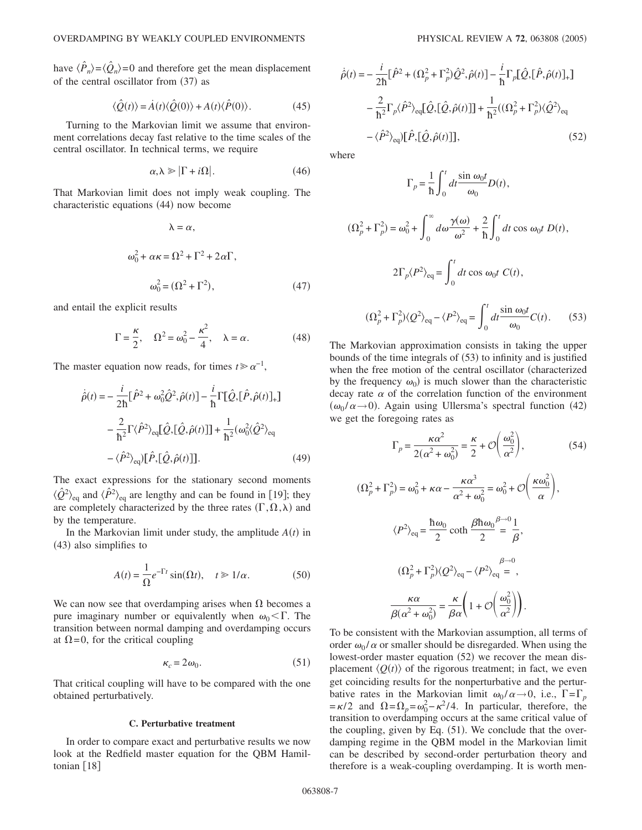have  $\langle \hat{P}_n \rangle = \langle \hat{Q}_n \rangle = 0$  and therefore get the mean displacement of the central oscillator from (37) as

$$
\langle \hat{Q}(t) \rangle = \dot{A}(t) \langle \hat{Q}(0) \rangle + A(t) \langle \hat{P}(0) \rangle. \tag{45}
$$

Turning to the Markovian limit we assume that environment correlations decay fast relative to the time scales of the central oscillator. In technical terms, we require

$$
\alpha, \lambda \geqslant |\Gamma + i\Omega|.
$$
 (46)

That Markovian limit does not imply weak coupling. The characteristic equations (44) now become

$$
\lambda = \alpha,
$$
  
\n
$$
\omega_0^2 + \alpha \kappa = \Omega^2 + \Gamma^2 + 2\alpha \Gamma,
$$
  
\n
$$
\omega_0^2 = (\Omega^2 + \Gamma^2),
$$
\n(47)

and entail the explicit results

$$
\Gamma = \frac{\kappa}{2}, \quad \Omega^2 = \omega_0^2 - \frac{\kappa^2}{4}, \quad \lambda = \alpha. \tag{48}
$$

The master equation now reads, for times  $t \geq \alpha^{-1}$ ,

$$
\dot{\hat{\rho}}(t) = -\frac{i}{2\hbar} [\hat{P}^2 + \omega_0^2 \hat{Q}^2, \hat{\rho}(t)] - \frac{i}{\hbar} \Gamma [\hat{Q}, [\hat{P}, \hat{\rho}(t)]_+]
$$

$$
-\frac{2}{\hbar^2} \Gamma \langle \hat{P}^2 \rangle_{\text{eq}} [\hat{Q}, [\hat{Q}, \hat{\rho}(t)]] + \frac{1}{\hbar^2} (\omega_0^2 \langle \hat{Q}^2 \rangle_{\text{eq}} - \langle \hat{P}^2 \rangle_{\text{eq}}) [\hat{P}, [\hat{Q}, \hat{\rho}(t)]]. \tag{49}
$$

The exact expressions for the stationary second moments  $\langle \hat{Q}^2 \rangle_{\text{eq}}$  and  $\langle \hat{P}^2 \rangle_{\text{eq}}$  are lengthy and can be found in [19]; they are completely characterized by the three rates  $(\Gamma, \Omega, \lambda)$  and by the temperature.

In the Markovian limit under study, the amplitude  $A(t)$  in (43) also simplifies to

$$
A(t) = \frac{1}{\Omega} e^{-\Gamma t} \sin(\Omega t), \quad t \ge 1/\alpha.
$$
 (50)

We can now see that overdamping arises when  $\Omega$  becomes a pure imaginary number or equivalently when  $\omega_0 < \Gamma$ . The transition between normal damping and overdamping occurs at  $\Omega$ =0, for the critical coupling

$$
\kappa_c = 2\omega_0. \tag{51}
$$

That critical coupling will have to be compared with the one obtained perturbatively.

## **C. Perturbative treatment**

In order to compare exact and perturbative results we now look at the Redfield master equation for the QBM Hamiltonian  $[18]$ 

$$
\dot{\hat{\rho}}(t) = -\frac{i}{2\hbar} [\hat{P}^2 + (\Omega_p^2 + \Gamma_p^2) \hat{Q}^2, \hat{\rho}(t)] - \frac{i}{\hbar} \Gamma_p [\hat{Q}, [\hat{P}, \hat{\rho}(t)]_+ ]
$$
  

$$
-\frac{2}{\hbar^2} \Gamma_p \langle \hat{P}^2 \rangle_{\text{eq}} [\hat{Q}, [\hat{Q}, \hat{\rho}(t)]] + \frac{1}{\hbar^2} ((\Omega_p^2 + \Gamma_p^2) \langle \hat{Q}^2 \rangle_{\text{eq}} - \langle \hat{P}^2 \rangle_{\text{eq}}) [\hat{P}, [\hat{Q}, \hat{\rho}(t)]] , \qquad (52)
$$

where

*ˆ*

$$
\Gamma_p = \frac{1}{\hbar} \int_0^t dt \frac{\sin \omega_0 t}{\omega_0} D(t),
$$
  

$$
(\Omega_p^2 + \Gamma_p^2) = \omega_0^2 + \int_0^\infty d\omega \frac{\gamma(\omega)}{\omega^2} + \frac{2}{\hbar} \int_0^t dt \cos \omega_0 t D(t),
$$
  

$$
2\Gamma_p \langle P^2 \rangle_{\text{eq}} = \int_0^t dt \cos \omega_0 t C(t),
$$
  

$$
(\Omega_p^2 + \Gamma_p^2) \langle Q^2 \rangle_{\text{eq}} - \langle P^2 \rangle_{\text{eq}} = \int_0^t dt \frac{\sin \omega_0 t}{\omega_0} C(t).
$$
 (53)

The Markovian approximation consists in taking the upper bounds of the time integrals of  $(53)$  to infinity and is justified when the free motion of the central oscillator (characterized by the frequency  $\omega_0$ ) is much slower than the characteristic decay rate  $\alpha$  of the correlation function of the environment  $(\omega_0 / \alpha \rightarrow 0)$ . Again using Ullersma's spectral function (42) we get the foregoing rates as

$$
\Gamma_p = \frac{\kappa \alpha^2}{2(\alpha^2 + \omega_0^2)} = \frac{\kappa}{2} + \mathcal{O}\left(\frac{\omega_0^2}{\alpha^2}\right),\tag{54}
$$

$$
(\Omega_p^2 + \Gamma_p^2) = \omega_0^2 + \kappa \alpha - \frac{\kappa \alpha^3}{\alpha^2 + \omega_0^2} = \omega_0^2 + \mathcal{O}\left(\frac{\kappa \omega_0^2}{\alpha}\right),
$$
  

$$
\langle P^2 \rangle_{\text{eq}} = \frac{\hbar \omega_0}{2} \coth \frac{\beta \hbar \omega_0}{2} = \frac{1}{\beta},
$$
  

$$
(\Omega_p^2 + \Gamma_p^2) \langle Q^2 \rangle_{\text{eq}} - \langle P^2 \rangle_{\text{eq}} = ,
$$
  

$$
\frac{\kappa \alpha}{\beta(\alpha^2 + \omega_0^2)} = \frac{\kappa}{\beta \alpha} \left(1 + \mathcal{O}\left(\frac{\omega_0^2}{\alpha^2}\right)\right).
$$

To be consistent with the Markovian assumption, all terms of order  $\omega_0 / \alpha$  or smaller should be disregarded. When using the lowest-order master equation (52) we recover the mean displacement  $\langle Q(t) \rangle$  of the rigorous treatment; in fact, we even get coinciding results for the nonperturbative and the perturbative rates in the Markovian limit  $\omega_0 / \alpha \rightarrow 0$ , i.e.,  $\Gamma = \Gamma_n$  $=\kappa/2$  and  $\Omega = \Omega_p = \omega_0^2 - \kappa^2/4$ . In particular, therefore, the transition to overdamping occurs at the same critical value of the coupling, given by Eq.  $(51)$ . We conclude that the overdamping regime in the QBM model in the Markovian limit can be described by second-order perturbation theory and therefore is a weak-coupling overdamping. It is worth men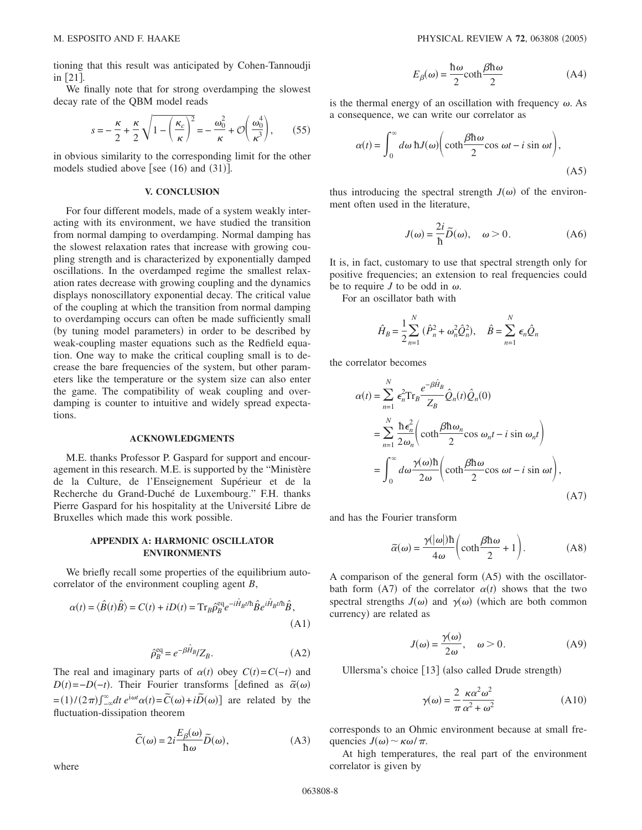tioning that this result was anticipated by Cohen-Tannoudji in  $\lceil 21 \rceil$ .

We finally note that for strong overdamping the slowest decay rate of the QBM model reads

$$
s = -\frac{\kappa}{2} + \frac{\kappa}{2} \sqrt{1 - \left(\frac{\kappa_c}{\kappa}\right)^2} = -\frac{\omega_0^2}{\kappa} + \mathcal{O}\left(\frac{\omega_0^4}{\kappa^3}\right),\tag{55}
$$

in obvious similarity to the corresponding limit for the other models studied above [see  $(16)$  and  $(31)$ ].

## **V. CONCLUSION**

For four different models, made of a system weakly interacting with its environment, we have studied the transition from normal damping to overdamping. Normal damping has the slowest relaxation rates that increase with growing coupling strength and is characterized by exponentially damped oscillations. In the overdamped regime the smallest relaxation rates decrease with growing coupling and the dynamics displays nonoscillatory exponential decay. The critical value of the coupling at which the transition from normal damping to overdamping occurs can often be made sufficiently small (by tuning model parameters) in order to be described by weak-coupling master equations such as the Redfield equation. One way to make the critical coupling small is to decrease the bare frequencies of the system, but other parameters like the temperature or the system size can also enter the game. The compatibility of weak coupling and overdamping is counter to intuitive and widely spread expectations.

## **ACKNOWLEDGMENTS**

M.E. thanks Professor P. Gaspard for support and encouragement in this research. M.E. is supported by the "Ministère de la Culture, de l'Enseignement Supérieur et de la Recherche du Grand-Duché de Luxembourg." F.H. thanks Pierre Gaspard for his hospitality at the Université Libre de Bruxelles which made this work possible.

# **APPENDIX A: HARMONIC OSCILLATOR ENVIRONMENTS**

We briefly recall some properties of the equilibrium autocorrelator of the environment coupling agent *B*,

$$
\alpha(t) = \langle \hat{B}(t)\hat{B}\rangle = C(t) + iD(t) = \text{Tr}_{B}\hat{\rho}_{B}^{\text{eq}}e^{-i\hat{H}_{B}t/\hbar}\hat{B}e^{i\hat{H}_{B}t/\hbar}\hat{B},\tag{A1}
$$

$$
\hat{\rho}_B^{\text{eq}} = e^{-\beta \hat{H}_B} / Z_B. \tag{A2}
$$

The real and imaginary parts of  $\alpha(t)$  obey  $C(t) = C(-t)$  and  $D(t) = -D(-t)$ . Their Fourier transforms [defined as  $\tilde{\alpha}(\omega)$  $=(1)/(2\pi)\int_{-\infty}^{\infty} dt \, e^{i\omega t}\alpha(t) = \tilde{C}(\omega) + i\tilde{D}(\omega)$  are related by the fluctuation-dissipation theorem

$$
\tilde{C}(\omega) = 2i \frac{E_{\beta}(\omega)}{\hbar \omega} \tilde{D}(\omega),
$$
\n(A3)

$$
E_{\beta}(\omega) = \frac{\hbar \omega}{2} \coth \frac{\beta \hbar \omega}{2}
$$
 (A4)

is the thermal energy of an oscillation with frequency  $\omega$ . As a consequence, we can write our correlator as

$$
\alpha(t) = \int_0^\infty d\omega \, \hbar J(\omega) \bigg( \coth \frac{\beta \hbar \omega}{2} \cos \omega t - i \sin \omega t \bigg),\tag{A5}
$$

thus introducing the spectral strength  $J(\omega)$  of the environment often used in the literature,

$$
J(\omega) = \frac{2i}{\hbar} \tilde{D}(\omega), \quad \omega > 0.
$$
 (A6)

It is, in fact, customary to use that spectral strength only for positive frequencies; an extension to real frequencies could be to require *J* to be odd in  $\omega$ .

For an oscillator bath with

$$
\hat{H}_B = \frac{1}{2} \sum_{n=1}^{N} (\hat{P}_n^2 + \omega_n^2 \hat{Q}_n^2), \quad \hat{B} = \sum_{n=1}^{N} \epsilon_n \hat{Q}_n
$$

the correlator becomes

$$
\alpha(t) = \sum_{n=1}^{N} \epsilon_n^2 \text{Tr}_B \frac{e^{-\beta \hat{H}_B}}{Z_B} \hat{Q}_n(t) \hat{Q}_n(0)
$$
  
\n
$$
= \sum_{n=1}^{N} \frac{\hbar \epsilon_n^2}{2 \omega_n} \left( \coth \frac{\beta \hbar \omega_n}{2} \cos \omega_n t - i \sin \omega_n t \right)
$$
  
\n
$$
= \int_0^{\infty} d\omega \frac{\gamma(\omega) \hbar}{2 \omega} \left( \coth \frac{\beta \hbar \omega}{2} \cos \omega t - i \sin \omega t \right),
$$
(A7)

and has the Fourier transform

$$
\widetilde{\alpha}(\omega) = \frac{\gamma(|\omega|)\hbar}{4\omega} \bigg(\coth\frac{\beta\hbar\omega}{2} + 1\bigg). \tag{A8}
$$

A comparison of the general form  $(A5)$  with the oscillatorbath form  $(A7)$  of the correlator  $\alpha(t)$  shows that the two spectral strengths  $J(\omega)$  and  $\gamma(\omega)$  (which are both common currency) are related as

$$
J(\omega) = \frac{\gamma(\omega)}{2\omega}, \quad \omega > 0.
$$
 (A9)

Ullersma's choice  $[13]$  (also called Drude strength)

$$
\gamma(\omega) = \frac{2}{\pi} \frac{\kappa \alpha^2 \omega^2}{\alpha^2 + \omega^2}
$$
 (A10)

corresponds to an Ohmic environment because at small frequencies  $J(\omega) \sim \kappa \omega / \pi$ .

At high temperatures, the real part of the environment correlator is given by

where